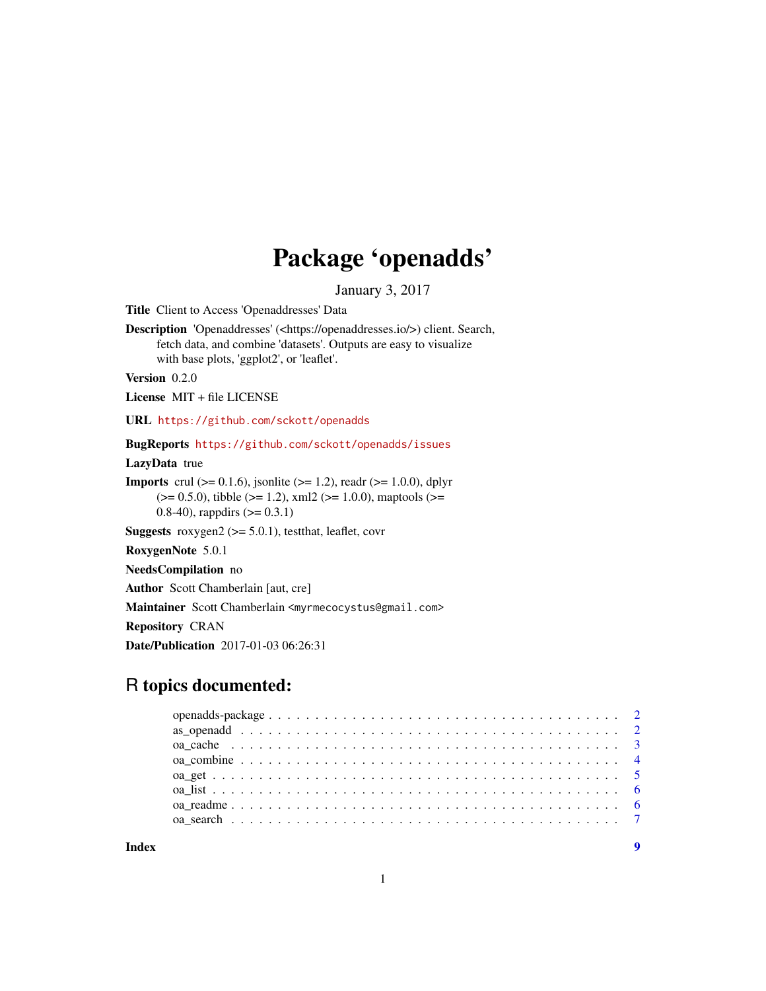## Package 'openadds'

January 3, 2017

<span id="page-0-0"></span>Title Client to Access 'Openaddresses' Data

Description 'Openaddresses' (<https://openaddresses.io/>) client. Search, fetch data, and combine 'datasets'. Outputs are easy to visualize with base plots, 'ggplot2', or 'leaflet'.

Version 0.2.0

License MIT + file LICENSE

URL <https://github.com/sckott/openadds>

BugReports <https://github.com/sckott/openadds/issues>

LazyData true

**Imports** crul ( $> = 0.1.6$ ), jsonlite ( $> = 1.2$ ), readr ( $> = 1.0.0$ ), dplyr  $(>= 0.5.0)$ , tibble  $(>= 1.2)$ , xml2  $(>= 1.0.0)$ , maptools  $(>= 1.0.0)$ 0.8-40), rappdirs  $(>= 0.3.1)$ 

**Suggests** roxygen2 ( $>= 5.0.1$ ), test that, leaflet, covr

RoxygenNote 5.0.1

NeedsCompilation no

Author Scott Chamberlain [aut, cre]

Maintainer Scott Chamberlain <myrmecocystus@gmail.com>

Repository CRAN

Date/Publication 2017-01-03 06:26:31

## R topics documented:

**Index** [9](#page-8-0)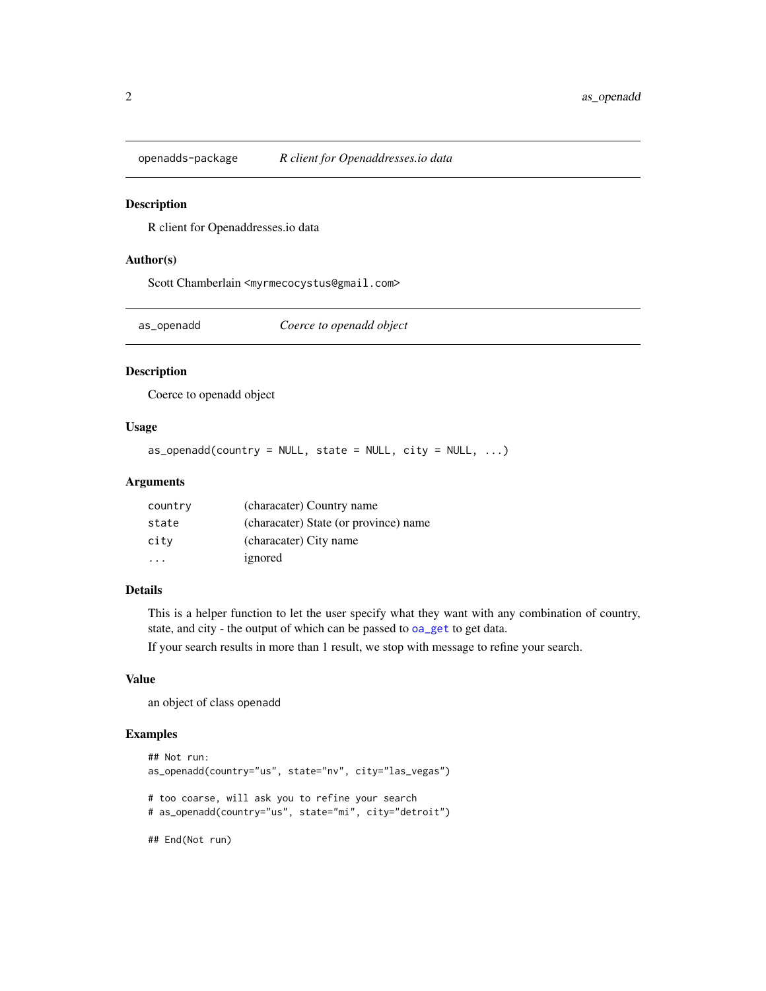<span id="page-1-0"></span>

R client for Openaddresses.io data

#### Author(s)

Scott Chamberlain <myrmecocystus@gmail.com>

as\_openadd *Coerce to openadd object*

## Description

Coerce to openadd object

#### Usage

 $as\_openadd(country = NULL, state = NULL, city = NULL, ...)$ 

## Arguments

| country | (characater) Country name             |
|---------|---------------------------------------|
| state   | (characater) State (or province) name |
| city    | (characater) City name                |
|         | ignored                               |

#### Details

This is a helper function to let the user specify what they want with any combination of country, state, and city - the output of which can be passed to [oa\\_get](#page-4-1) to get data.

If your search results in more than 1 result, we stop with message to refine your search.

#### Value

an object of class openadd

```
## Not run:
as_openadd(country="us", state="nv", city="las_vegas")
# too coarse, will ask you to refine your search
# as_openadd(country="us", state="mi", city="detroit")
## End(Not run)
```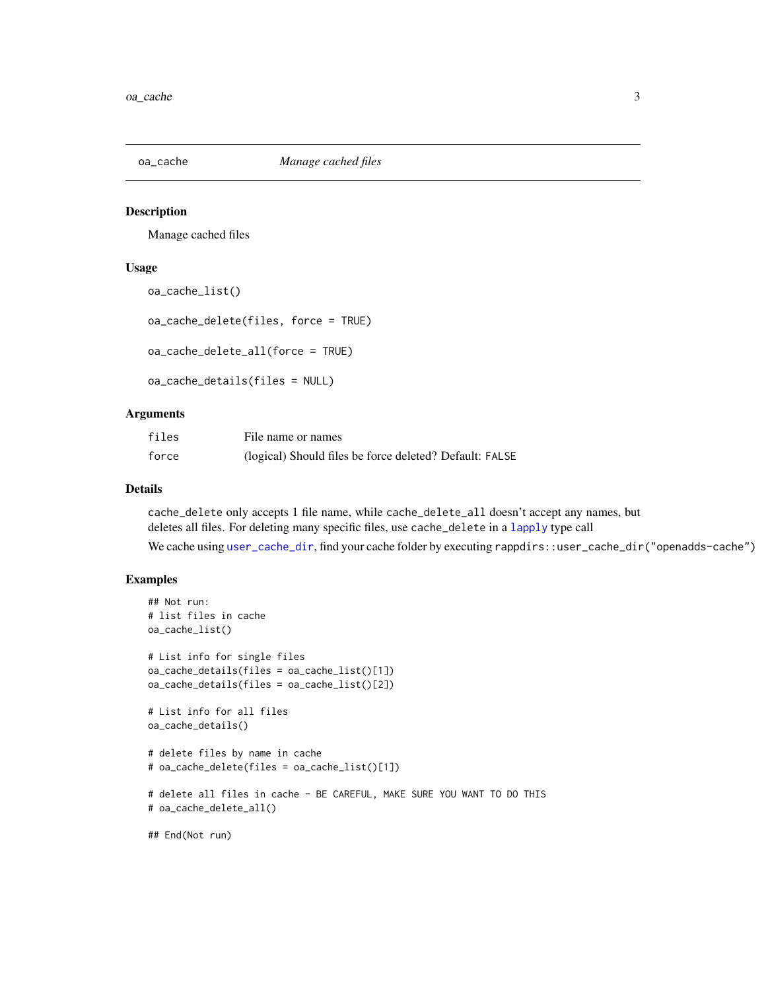<span id="page-2-0"></span>

Manage cached files

#### Usage

```
oa_cache_list()
```
oa\_cache\_delete(files, force = TRUE)

oa\_cache\_delete\_all(force = TRUE)

oa\_cache\_details(files = NULL)

## Arguments

| files | File name or names                                      |
|-------|---------------------------------------------------------|
| force | (logical) Should files be force deleted? Default: FALSE |

#### Details

cache\_delete only accepts 1 file name, while cache\_delete\_all doesn't accept any names, but deletes all files. For deleting many specific files, use cache\_delete in a [lapply](#page-0-0) type call

We cache using [user\\_cache\\_dir](#page-0-0), find your cache folder by executing rappdirs::user\_cache\_dir("openadds-cache")

```
## Not run:
# list files in cache
oa_cache_list()
# List info for single files
oa_cache_details(files = oa_cache_list()[1])
oa_cache_details(files = oa_cache_list()[2])
# List info for all files
oa_cache_details()
# delete files by name in cache
# oa_cache_delete(files = oa_cache_list()[1])
# delete all files in cache - BE CAREFUL, MAKE SURE YOU WANT TO DO THIS
# oa_cache_delete_all()
## End(Not run)
```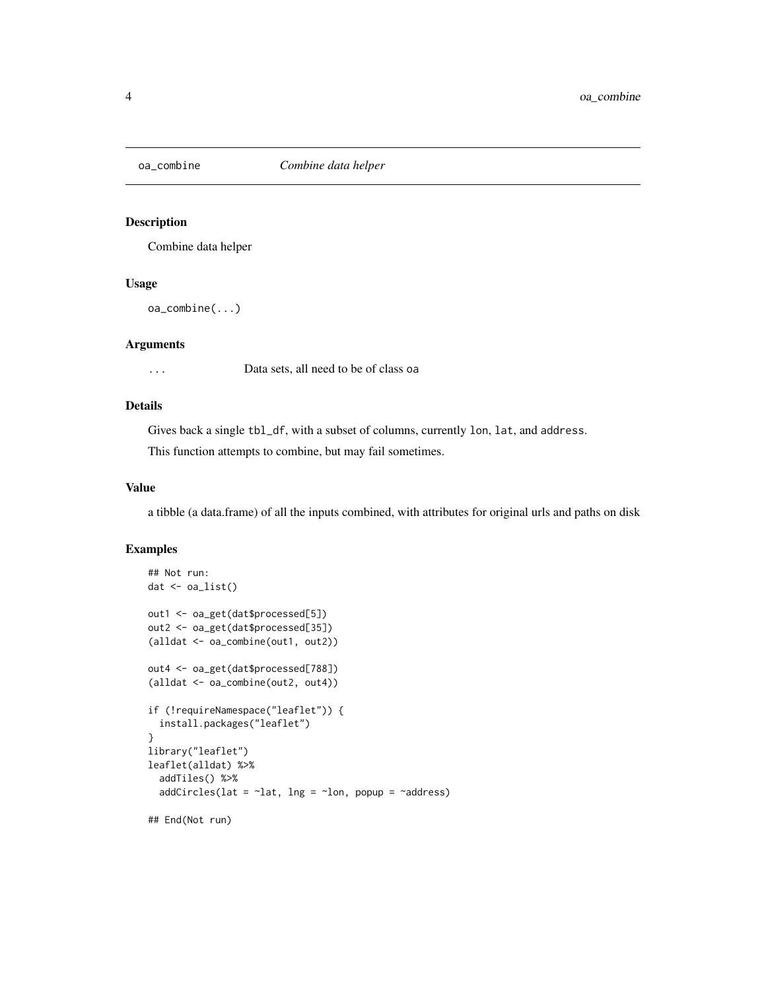<span id="page-3-0"></span>

Combine data helper

#### Usage

oa\_combine(...)

## Arguments

... Data sets, all need to be of class oa

### Details

Gives back a single tbl\_df, with a subset of columns, currently lon, lat, and address. This function attempts to combine, but may fail sometimes.

#### Value

a tibble (a data.frame) of all the inputs combined, with attributes for original urls and paths on disk

```
## Not run:
dat <- oa_list()
out1 <- oa_get(dat$processed[5])
out2 <- oa_get(dat$processed[35])
(alldat <- oa_combine(out1, out2))
out4 <- oa_get(dat$processed[788])
(alldat <- oa_combine(out2, out4))
if (!requireNamespace("leaflet")) {
  install.packages("leaflet")
}
library("leaflet")
leaflet(alldat) %>%
  addTiles() %>%
  addCircles(lat = \nulat, lng = \nulon, popup = \nuaddress)
## End(Not run)
```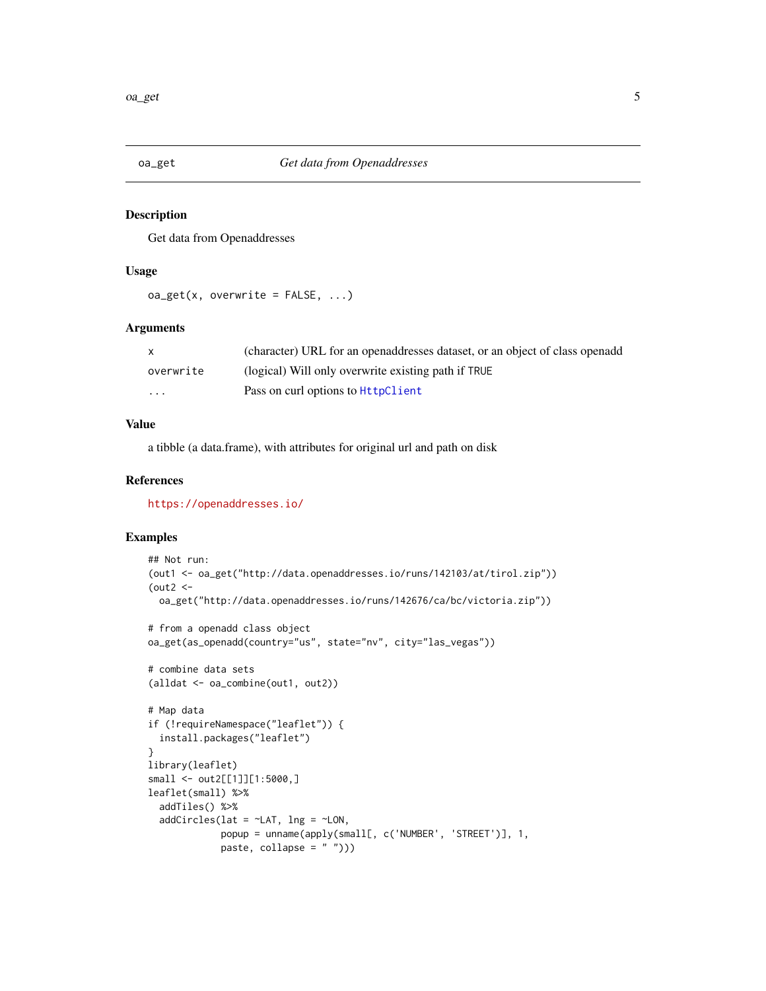<span id="page-4-1"></span><span id="page-4-0"></span>

Get data from Openaddresses

#### Usage

 $oa\_get(x, overwrite = FALSE, ...)$ 

#### Arguments

| $\mathsf{X}$            | (character) URL for an openaddresses dataset, or an object of class openadd |
|-------------------------|-----------------------------------------------------------------------------|
| overwrite               | (logical) Will only overwrite existing path if TRUE                         |
| $\cdot$ $\cdot$ $\cdot$ | Pass on curl options to HttpClient                                          |

#### Value

a tibble (a data.frame), with attributes for original url and path on disk

#### References

<https://openaddresses.io/>

```
## Not run:
(out1 <- oa_get("http://data.openaddresses.io/runs/142103/at/tirol.zip"))
(out2 < -oa_get("http://data.openaddresses.io/runs/142676/ca/bc/victoria.zip"))
# from a openadd class object
oa_get(as_openadd(country="us", state="nv", city="las_vegas"))
# combine data sets
(alldat <- oa_combine(out1, out2))
# Map data
if (!requireNamespace("leaflet")) {
  install.packages("leaflet")
}
library(leaflet)
small <- out2[[1]][1:5000,]
leaflet(small) %>%
  addTiles() %>%
  addCircles(lat = ~\sim LAT, lng = ~\sim LON,popup = unname(apply(small[, c('NUMBER', 'STREET')], 1,
             paste, collapse = " ")))
```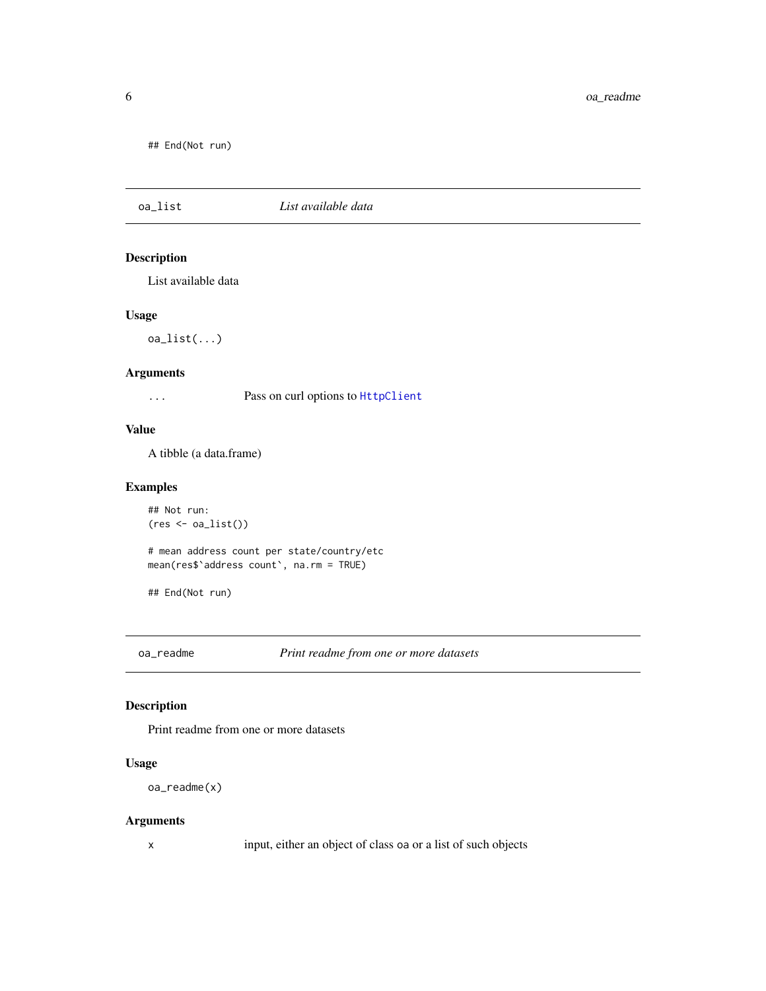<span id="page-5-0"></span>## End(Not run)

## oa\_list *List available data*

## Description

List available data

#### Usage

oa\_list(...)

#### Arguments

... Pass on curl options to [HttpClient](#page-0-0)

#### Value

A tibble (a data.frame)

#### Examples

```
## Not run:
(res \leftarrow oa\_list())
```
# mean address count per state/country/etc mean(res\$`address count`, na.rm = TRUE)

## End(Not run)

oa\_readme *Print readme from one or more datasets*

## Description

Print readme from one or more datasets

## Usage

```
oa_readme(x)
```
#### Arguments

x input, either an object of class oa or a list of such objects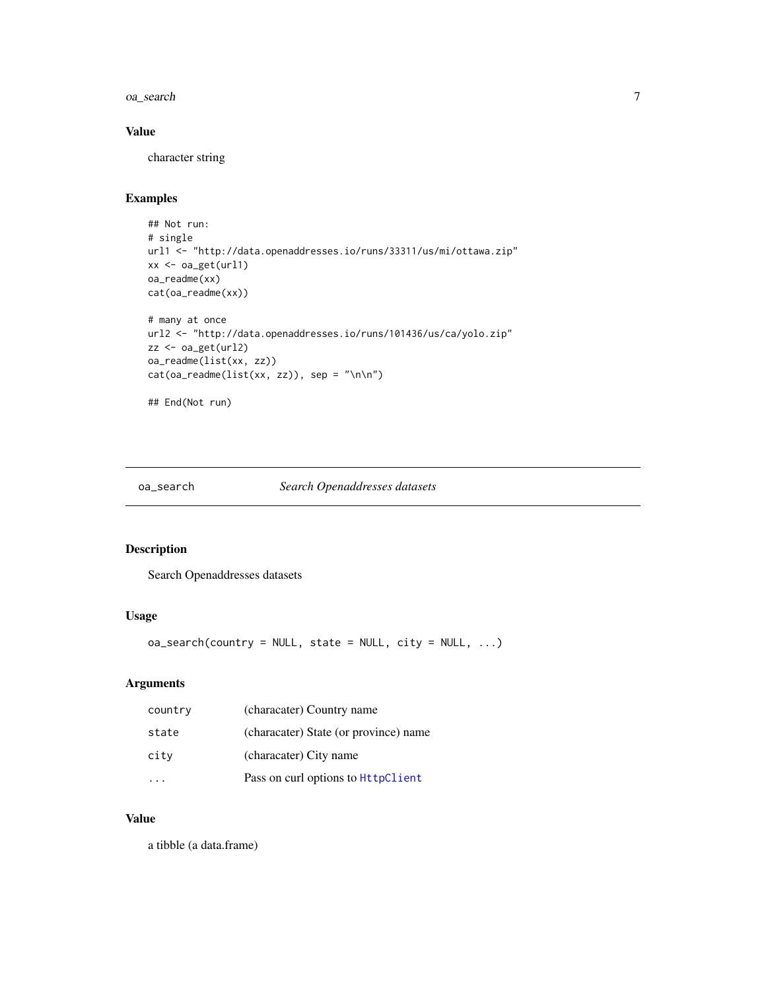#### <span id="page-6-0"></span>oa\_search 7

## Value

character string

## Examples

```
## Not run:
# single
url1 <- "http://data.openaddresses.io/runs/33311/us/mi/ottawa.zip"
xx <- oa_get(url1)
oa_readme(xx)
cat(oa_readme(xx))
# many at once
url2 <- "http://data.openaddresses.io/runs/101436/us/ca/yolo.zip"
zz <- oa_get(url2)
oa_readme(list(xx, zz))
cat(oa_readme(list(xx, zz)), sep = "\n\n")
## End(Not run)
```
#### oa\_search *Search Openaddresses datasets*

## Description

Search Openaddresses datasets

#### Usage

 $oa\_search( country = NULL, state = NULL, city = NULL, ...)$ 

#### Arguments

| country | (characater) Country name             |
|---------|---------------------------------------|
| state   | (characater) State (or province) name |
| city    | (characater) City name                |
|         | Pass on curl options to HttpClient    |

## Value

a tibble (a data.frame)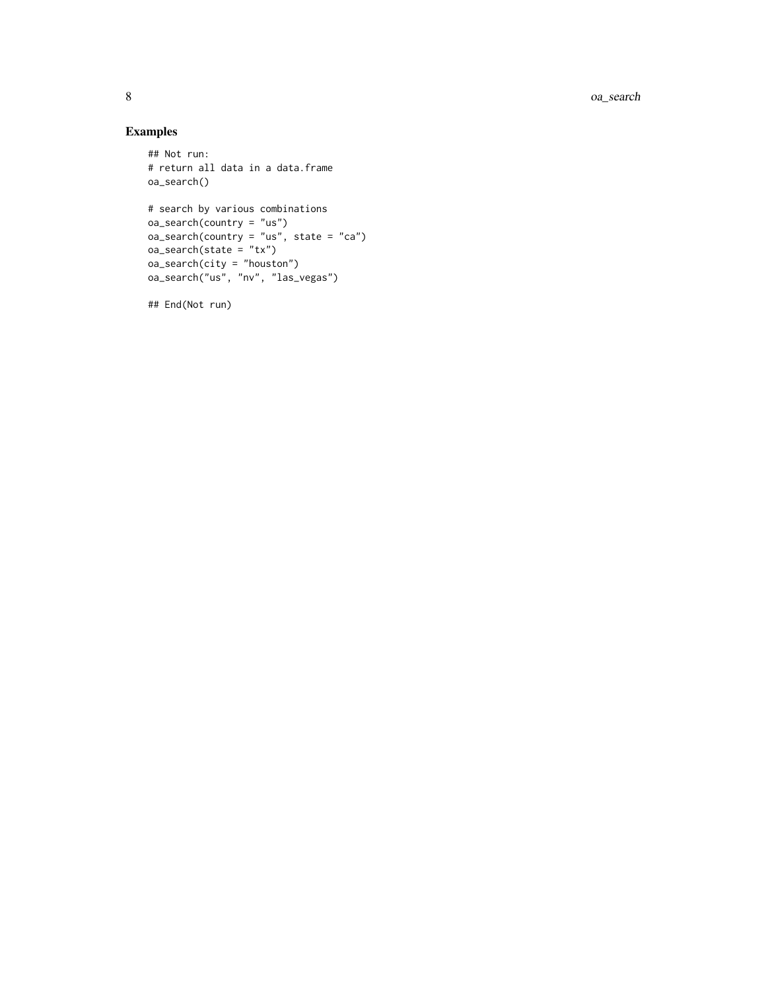8 oa\_search

## Examples

```
## Not run:
# return all data in a data.frame
oa_search()
# search by various combinations
oa_search(country = "us")
oa_search(country = "us", state = "ca")
oa_search(state = "tx")
oa_search(city = "houston")
oa_search("us", "nv", "las_vegas")
```
## End(Not run)